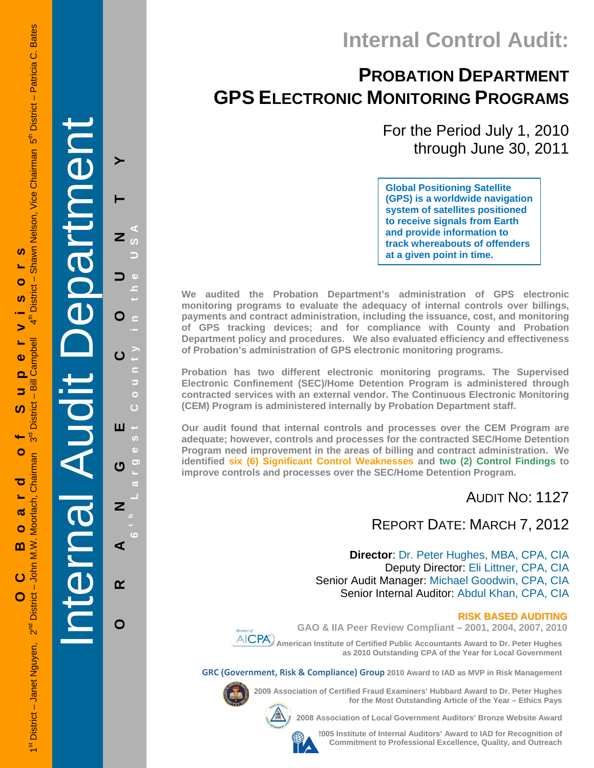## **Internal Control Audit:**

### **PROBATION DEPARTMENT GPS ELECTRONIC MONITORING PROGRAMS**

For the Period July 1, 2010 through June 30, 2011

**Global Positioning Satellite (GPS) is a worldwide navigation system of satellites positioned to receive signals from Earth and provide information to track whereabouts of offenders at a given point in time.** 

**We audited the Probation Department's administration of GPS electronic monitoring programs to evaluate the adequacy of internal controls over billings, payments and contract administration, including the issuance, cost, and monitoring of GPS tracking devices; and for compliance with County and Probation Department policy and procedures. We also evaluated efficiency and effectiveness of Probation's administration of GPS electronic monitoring programs.** 

**Probation has two different electronic monitoring programs. The Supervised Electronic Confinement (SEC)/Home Detention Program is administered through contracted services with an external vendor. The Continuous Electronic Monitoring (CEM) Program is administered internally by Probation Department staff.** 

**Our audit found that internal controls and processes over the CEM Program are adequate; however, controls and processes for the contracted SEC/Home Detention Program need improvement in the areas of billing and contract administration. We identified six (6) Significant Control Weaknesses and two (2) Control Findings to improve controls and processes over the SEC/Home Detention Program.** 

### AUDIT NO: 1127

### REPORT DATE: MARCH 7, 2012

**Director**: Dr. Peter Hughes, MBA, CPA, CIA Deputy Director: Eli Littner, CPA, CIA Senior Audit Manager: Michael Goodwin, CPA, CIA Senior Internal Auditor: Abdul Khan, CPA, CIA

#### **RISK BASED AUDITING**

**GAO & IIA Peer Review Compliant – 2001, 2004, 2007, 2010** 

 **American Institute of Certified Public Accountants Award to Dr. Peter Hughes as 2010 Outstanding CPA of the Year for Local Government** 

**GRC (Government, Risk & Compliance) Group 2010 Award to IAD as MVP in Risk Management** 



**2009 Association of Certified Fraud Examiners' Hubbard Award to Dr. Peter Hughes** 



**2008 Association of Local Government Auditors' Bronze Website Award** 



**2005 Institute of Internal Auditors' Award to IAD for Recognition of Commitment to Professional Excellence, Quality, and Outreach**

**for the Most Outstanding Article of the Year – Ethics Pays** 

Internal Audit Department

**ORANGE COUNTY 6 t h Lar**

ш

ෆ

Z

⋖

 $\alpha$ 

O

**g**

**est Count**

**y in the USA** 

≻

Z

O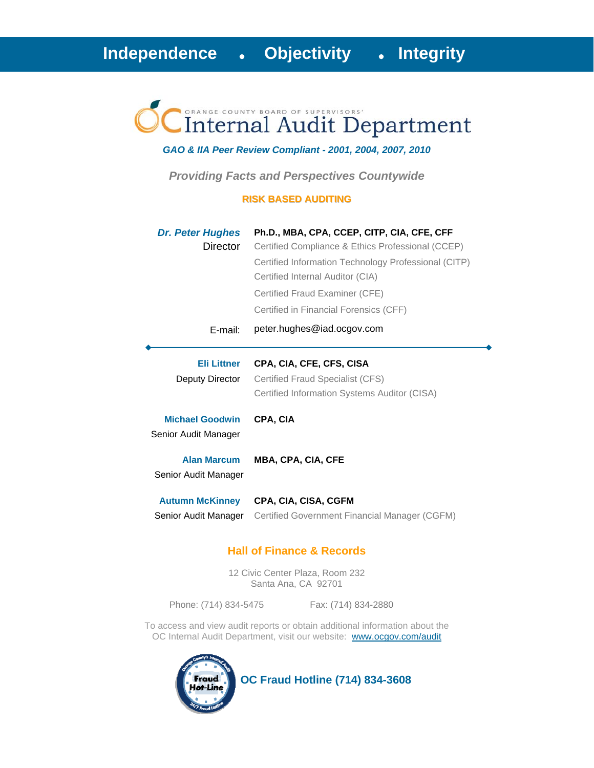# Internal Audit Department

#### *GAO & IIA Peer Review Compliant - 2001, 2004, 2007, 2010*

*Providing Facts and Perspectives Countywide* 

#### **RISK BASED AUDITING**

| <b>Dr. Peter Hughes</b><br>Director            | Ph.D., MBA, CPA, CCEP, CITP, CIA, CFE, CFF<br>Certified Compliance & Ethics Professional (CCEP)<br>Certified Information Technology Professional (CITP)<br>Certified Internal Auditor (CIA)<br>Certified Fraud Examiner (CFE)<br>Certified in Financial Forensics (CFF) |
|------------------------------------------------|-------------------------------------------------------------------------------------------------------------------------------------------------------------------------------------------------------------------------------------------------------------------------|
| $E$ -mail:                                     | peter.hughes@iad.ocgov.com                                                                                                                                                                                                                                              |
| Eli Littner<br>Deputy Director                 | CPA, CIA, CFE, CFS, CISA<br>Certified Fraud Specialist (CFS)<br>Certified Information Systems Auditor (CISA)                                                                                                                                                            |
| <b>Michael Goodwin</b><br>Senior Audit Manager | CPA, CIA                                                                                                                                                                                                                                                                |
| <b>Alan Marcum</b><br>Senior Audit Manager     | <b>MBA, CPA, CIA, CFE</b>                                                                                                                                                                                                                                               |
| <b>Autumn McKinney</b><br>Senior Audit Manager | CPA, CIA, CISA, CGFM<br>Certified Government Financial Manager (CGFM)                                                                                                                                                                                                   |

#### **Hall of Finance & Records**

12 Civic Center Plaza, Room 232 Santa Ana, CA 92701

Phone: (714) 834-5475 Fax: (714) 834-2880

To access and view audit reports or obtain additional information about the OC Internal Audit Department, visit our website: www.ocgov.com/audit



 **OC Fraud Hotline (714) 834-3608**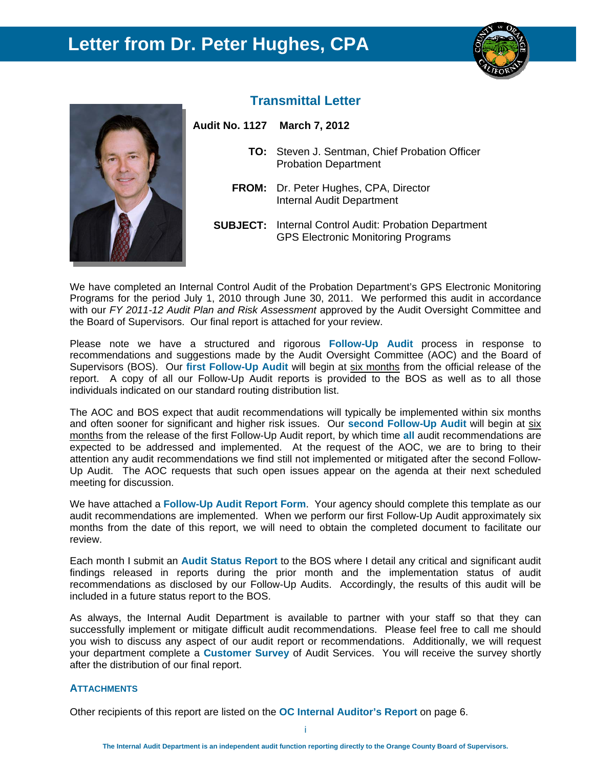### **Letter from Dr. Peter Hughes, CPA**





#### **Transmittal Letter**

**TO:** Steven J. Sentman, Chief Probation Officer Probation Department

- **FROM:** Dr. Peter Hughes, CPA, Director Internal Audit Department
- **SUBJECT:** Internal Control Audit: Probation Department GPS Electronic Monitoring Programs

We have completed an Internal Control Audit of the Probation Department's GPS Electronic Monitoring Programs for the period July 1, 2010 through June 30, 2011. We performed this audit in accordance with our *FY 2011-12 Audit Plan and Risk Assessment* approved by the Audit Oversight Committee and the Board of Supervisors. Our final report is attached for your review.

Please note we have a structured and rigorous **Follow-Up Audit** process in response to recommendations and suggestions made by the Audit Oversight Committee (AOC) and the Board of Supervisors (BOS). Our **first Follow-Up Audit** will begin at six months from the official release of the report. A copy of all our Follow-Up Audit reports is provided to the BOS as well as to all those individuals indicated on our standard routing distribution list.

The AOC and BOS expect that audit recommendations will typically be implemented within six months and often sooner for significant and higher risk issues. Our **second Follow-Up Audit** will begin at six months from the release of the first Follow-Up Audit report, by which time **all** audit recommendations are expected to be addressed and implemented. At the request of the AOC, we are to bring to their attention any audit recommendations we find still not implemented or mitigated after the second Follow-Up Audit. The AOC requests that such open issues appear on the agenda at their next scheduled meeting for discussion.

We have attached a **Follow-Up Audit Report Form**. Your agency should complete this template as our audit recommendations are implemented. When we perform our first Follow-Up Audit approximately six months from the date of this report, we will need to obtain the completed document to facilitate our review.

Each month I submit an **Audit Status Report** to the BOS where I detail any critical and significant audit findings released in reports during the prior month and the implementation status of audit recommendations as disclosed by our Follow-Up Audits. Accordingly, the results of this audit will be included in a future status report to the BOS.

As always, the Internal Audit Department is available to partner with your staff so that they can successfully implement or mitigate difficult audit recommendations. Please feel free to call me should you wish to discuss any aspect of our audit report or recommendations. Additionally, we will request your department complete a **Customer Survey** of Audit Services. You will receive the survey shortly after the distribution of our final report.

#### **ATTACHMENTS**

Other recipients of this report are listed on the **OC Internal Auditor's Report** on page 6.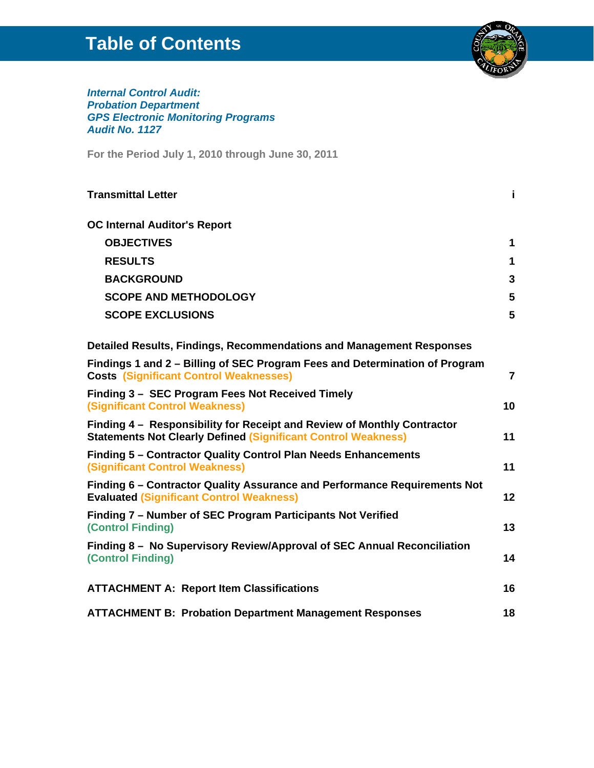### **Table of Contents**



*Internal Control Audit: Probation Department GPS Electronic Monitoring Programs Audit No. 1127* 

**For the Period July 1, 2010 through June 30, 2011**

| <b>Transmittal Letter</b>                                                                                                                       | i.             |
|-------------------------------------------------------------------------------------------------------------------------------------------------|----------------|
| <b>OC Internal Auditor's Report</b>                                                                                                             |                |
| <b>OBJECTIVES</b>                                                                                                                               | 1              |
| <b>RESULTS</b>                                                                                                                                  | 1              |
| <b>BACKGROUND</b>                                                                                                                               | 3              |
| <b>SCOPE AND METHODOLOGY</b>                                                                                                                    | 5              |
| <b>SCOPE EXCLUSIONS</b>                                                                                                                         | 5              |
| Detailed Results, Findings, Recommendations and Management Responses                                                                            |                |
| Findings 1 and 2 – Billing of SEC Program Fees and Determination of Program<br><b>Costs (Significant Control Weaknesses)</b>                    | $\overline{7}$ |
| Finding 3 - SEC Program Fees Not Received Timely<br><b>(Significant Control Weakness)</b>                                                       | 10             |
| Finding 4 – Responsibility for Receipt and Review of Monthly Contractor<br><b>Statements Not Clearly Defined (Significant Control Weakness)</b> | 11             |
| Finding 5 - Contractor Quality Control Plan Needs Enhancements<br><b>(Significant Control Weakness)</b>                                         | 11             |
| Finding 6 – Contractor Quality Assurance and Performance Requirements Not<br><b>Evaluated (Significant Control Weakness)</b>                    | 12             |
| Finding 7 – Number of SEC Program Participants Not Verified<br>(Control Finding)                                                                | 13             |
| Finding 8 - No Supervisory Review/Approval of SEC Annual Reconciliation<br>(Control Finding)                                                    | 14             |
| <b>ATTACHMENT A: Report Item Classifications</b>                                                                                                | 16             |
| <b>ATTACHMENT B: Probation Department Management Responses</b>                                                                                  | 18             |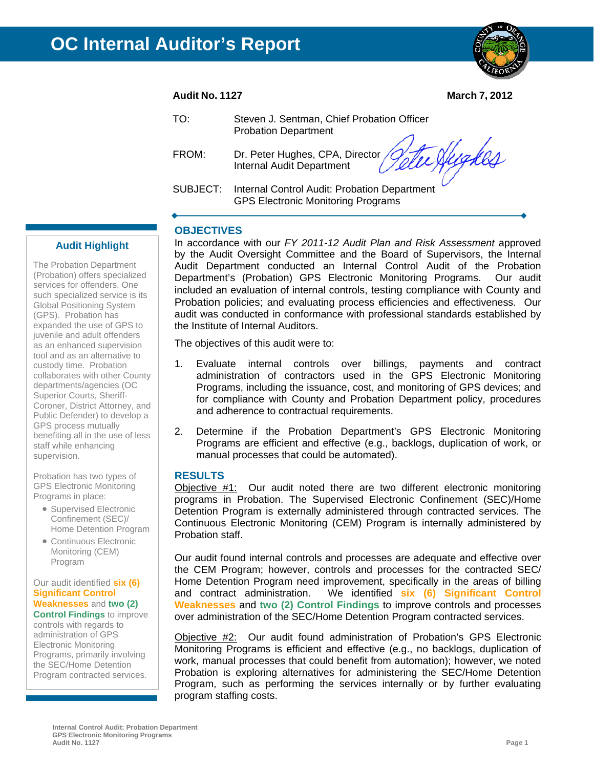

**Audit No. 1127 March 7, 2012** 

| TO:      | Steven J. Sentman, Chief Probation Officer<br><b>Probation Department</b>                 |
|----------|-------------------------------------------------------------------------------------------|
| FROM:    | Dr. Peter Hughes, CPA, Director <i>(Jette Nugkles)</i>                                    |
| SUBJECT: | Internal Control Audit: Probation Department<br><b>GPS Electronic Monitoring Programs</b> |

#### **OBJECTIVES**

In accordance with our *FY 2011-12 Audit Plan and Risk Assessment* approved by the Audit Oversight Committee and the Board of Supervisors, the Internal Audit Department conducted an Internal Control Audit of the Probation Department's (Probation) GPS Electronic Monitoring Programs. Our audit included an evaluation of internal controls, testing compliance with County and Probation policies; and evaluating process efficiencies and effectiveness. Our audit was conducted in conformance with professional standards established by the Institute of Internal Auditors.

The objectives of this audit were to:

- 1. Evaluate internal controls over billings, payments and contract administration of contractors used in the GPS Electronic Monitoring Programs, including the issuance, cost, and monitoring of GPS devices; and for compliance with County and Probation Department policy, procedures and adherence to contractual requirements.
- 2. Determine if the Probation Department's GPS Electronic Monitoring Programs are efficient and effective (e.g., backlogs, duplication of work, or manual processes that could be automated).

#### **RESULTS**

Objective #1: Our audit noted there are two different electronic monitoring programs in Probation. The Supervised Electronic Confinement (SEC)/Home Detention Program is externally administered through contracted services. The Continuous Electronic Monitoring (CEM) Program is internally administered by Probation staff.

Our audit found internal controls and processes are adequate and effective over the CEM Program; however, controls and processes for the contracted SEC/ Home Detention Program need improvement, specifically in the areas of billing and contract administration. We identified **six (6) Significant Control Weaknesses** and **two (2) Control Findings** to improve controls and processes over administration of the SEC/Home Detention Program contracted services.

Objective #2: Our audit found administration of Probation's GPS Electronic Monitoring Programs is efficient and effective (e.g., no backlogs, duplication of work, manual processes that could benefit from automation); however, we noted Probation is exploring alternatives for administering the SEC/Home Detention Program, such as performing the services internally or by further evaluating program staffing costs.

#### **Audit Highlight**

The Probation Department (Probation) offers specialized services for offenders. One such specialized service is its Global Positioning System (GPS). Probation has expanded the use of GPS to juvenile and adult offenders as an enhanced supervision tool and as an alternative to custody time. Probation collaborates with other County departments/agencies (OC Superior Courts, Sheriff-Coroner, District Attorney, and Public Defender) to develop a GPS process mutually benefiting all in the use of less staff while enhancing supervision.

Probation has two types of GPS Electronic Monitoring Programs in place:

- Supervised Electronic Confinement (SEC)/ Home Detention Program
- Continuous Electronic Monitoring (CEM) Program

#### Our audit identified **six (6) Significant Control Weaknesses** and **two (2)**

**Control Findings** to improve controls with regards to administration of GPS Electronic Monitoring Programs, primarily involving the SEC/Home Detention Program contracted services.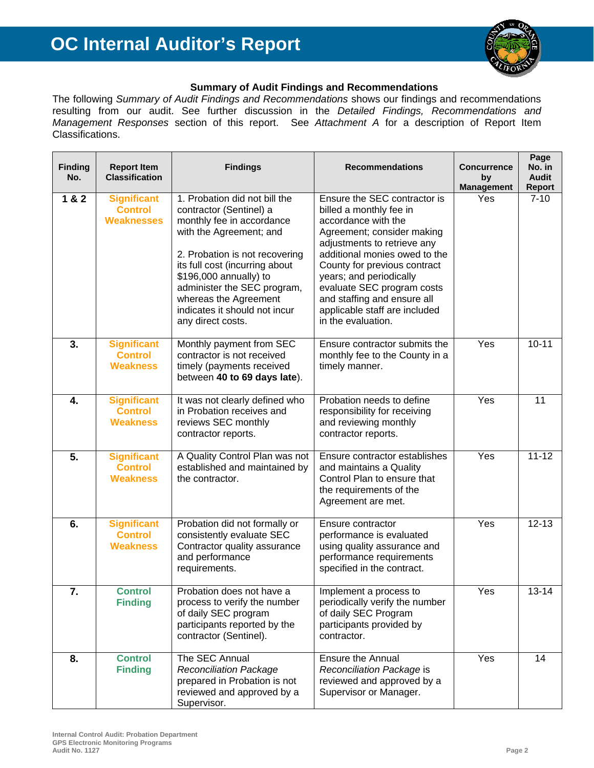

#### **Summary of Audit Findings and Recommendations**

The following *Summary of Audit Findings and Recommendations* shows our findings and recommendations resulting from our audit. See further discussion in the *Detailed Findings, Recommendations and Management Responses* section of this report. See *Attachment A* for a description of Report Item Classifications.

| <b>Finding</b><br>No. | <b>Report Item</b><br><b>Classification</b>               | <b>Findings</b>                                                                                                                                                                                                                                                                                                              | <b>Recommendations</b>                                                                                                                                                                                                                                                                                                                                      | <b>Concurrence</b><br>by | Page<br>No. in<br><b>Audit</b> |
|-----------------------|-----------------------------------------------------------|------------------------------------------------------------------------------------------------------------------------------------------------------------------------------------------------------------------------------------------------------------------------------------------------------------------------------|-------------------------------------------------------------------------------------------------------------------------------------------------------------------------------------------------------------------------------------------------------------------------------------------------------------------------------------------------------------|--------------------------|--------------------------------|
| 1 & 2                 | <b>Significant</b><br><b>Control</b><br><b>Weaknesses</b> | 1. Probation did not bill the<br>contractor (Sentinel) a<br>monthly fee in accordance<br>with the Agreement; and<br>2. Probation is not recovering<br>its full cost (incurring about<br>\$196,000 annually) to<br>administer the SEC program,<br>whereas the Agreement<br>indicates it should not incur<br>any direct costs. | Ensure the SEC contractor is<br>billed a monthly fee in<br>accordance with the<br>Agreement; consider making<br>adjustments to retrieve any<br>additional monies owed to the<br>County for previous contract<br>years; and periodically<br>evaluate SEC program costs<br>and staffing and ensure all<br>applicable staff are included<br>in the evaluation. | <b>Management</b><br>Yes | <b>Report</b><br>$7 - 10$      |
| 3.                    | <b>Significant</b><br><b>Control</b><br><b>Weakness</b>   | Monthly payment from SEC<br>contractor is not received<br>timely (payments received<br>between 40 to 69 days late).                                                                                                                                                                                                          | Ensure contractor submits the<br>monthly fee to the County in a<br>timely manner.                                                                                                                                                                                                                                                                           | Yes                      | $10 - 11$                      |
| 4.                    | <b>Significant</b><br><b>Control</b><br><b>Weakness</b>   | It was not clearly defined who<br>in Probation receives and<br>reviews SEC monthly<br>contractor reports.                                                                                                                                                                                                                    | Probation needs to define<br>responsibility for receiving<br>and reviewing monthly<br>contractor reports.                                                                                                                                                                                                                                                   | Yes                      | 11                             |
| 5.                    | <b>Significant</b><br><b>Control</b><br><b>Weakness</b>   | A Quality Control Plan was not<br>established and maintained by<br>the contractor.                                                                                                                                                                                                                                           | Ensure contractor establishes<br>and maintains a Quality<br>Control Plan to ensure that<br>the requirements of the<br>Agreement are met.                                                                                                                                                                                                                    | Yes                      | $11 - 12$                      |
| 6.                    | <b>Significant</b><br><b>Control</b><br><b>Weakness</b>   | Probation did not formally or<br>consistently evaluate SEC<br>Contractor quality assurance<br>and performance<br>requirements.                                                                                                                                                                                               | Ensure contractor<br>performance is evaluated<br>using quality assurance and<br>performance requirements<br>specified in the contract.                                                                                                                                                                                                                      | Yes                      | $12 - 13$                      |
| 7.                    | <b>Control</b><br><b>Finding</b>                          | Probation does not have a<br>process to verify the number<br>of daily SEC program<br>participants reported by the<br>contractor (Sentinel).                                                                                                                                                                                  | Implement a process to<br>periodically verify the number<br>of daily SEC Program<br>participants provided by<br>contractor.                                                                                                                                                                                                                                 | Yes                      | 13-14                          |
| 8.                    | <b>Control</b><br><b>Finding</b>                          | The SEC Annual<br><b>Reconciliation Package</b><br>prepared in Probation is not<br>reviewed and approved by a<br>Supervisor.                                                                                                                                                                                                 | <b>Ensure the Annual</b><br>Reconciliation Package is<br>reviewed and approved by a<br>Supervisor or Manager.                                                                                                                                                                                                                                               | Yes                      | 14                             |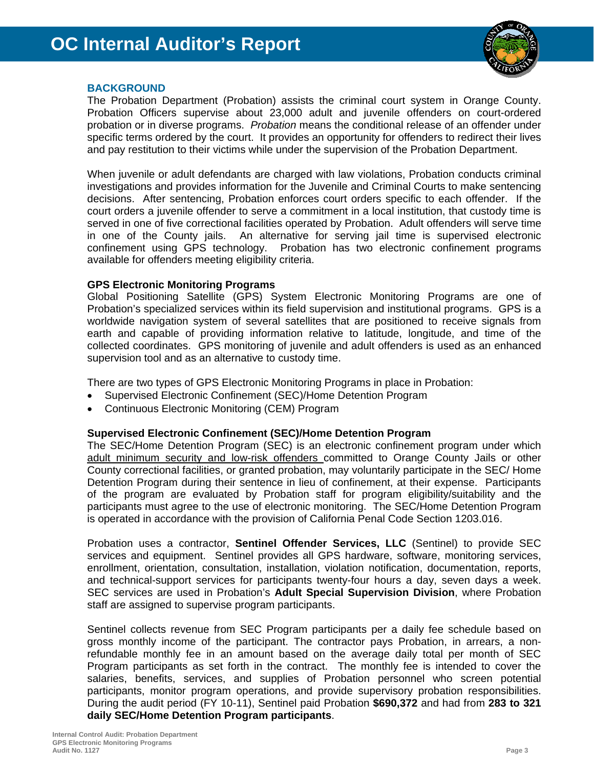

#### **BACKGROUND**

The Probation Department (Probation) assists the criminal court system in Orange County. Probation Officers supervise about 23,000 adult and juvenile offenders on court-ordered probation or in diverse programs. *Probation* means the conditional release of an offender under specific terms ordered by the court. It provides an opportunity for offenders to redirect their lives and pay restitution to their victims while under the supervision of the Probation Department.

When juvenile or adult defendants are charged with law violations, Probation conducts criminal investigations and provides information for the Juvenile and Criminal Courts to make sentencing decisions. After sentencing, Probation enforces court orders specific to each offender. If the court orders a juvenile offender to serve a commitment in a local institution, that custody time is served in one of five correctional facilities operated by Probation. Adult offenders will serve time in one of the County jails. An alternative for serving jail time is supervised electronic confinement using GPS technology. Probation has two electronic confinement programs available for offenders meeting eligibility criteria.

#### **GPS Electronic Monitoring Programs**

Global Positioning Satellite (GPS) System Electronic Monitoring Programs are one of Probation's specialized services within its field supervision and institutional programs. GPS is a worldwide navigation system of several satellites that are positioned to receive signals from earth and capable of providing information relative to latitude, longitude, and time of the collected coordinates. GPS monitoring of juvenile and adult offenders is used as an enhanced supervision tool and as an alternative to custody time.

There are two types of GPS Electronic Monitoring Programs in place in Probation:

- Supervised Electronic Confinement (SEC)/Home Detention Program
- Continuous Electronic Monitoring (CEM) Program

#### **Supervised Electronic Confinement (SEC)/Home Detention Program**

The SEC/Home Detention Program (SEC) is an electronic confinement program under which adult minimum security and low-risk offenders committed to Orange County Jails or other County correctional facilities, or granted probation, may voluntarily participate in the SEC/ Home Detention Program during their sentence in lieu of confinement, at their expense. Participants of the program are evaluated by Probation staff for program eligibility/suitability and the participants must agree to the use of electronic monitoring. The SEC/Home Detention Program is operated in accordance with the provision of California Penal Code Section 1203.016.

Probation uses a contractor, **Sentinel Offender Services, LLC** (Sentinel) to provide SEC services and equipment. Sentinel provides all GPS hardware, software, monitoring services, enrollment, orientation, consultation, installation, violation notification, documentation, reports, and technical-support services for participants twenty-four hours a day, seven days a week. SEC services are used in Probation's **Adult Special Supervision Division**, where Probation staff are assigned to supervise program participants.

Sentinel collects revenue from SEC Program participants per a daily fee schedule based on gross monthly income of the participant. The contractor pays Probation, in arrears, a nonrefundable monthly fee in an amount based on the average daily total per month of SEC Program participants as set forth in the contract. The monthly fee is intended to cover the salaries, benefits, services, and supplies of Probation personnel who screen potential participants, monitor program operations, and provide supervisory probation responsibilities. During the audit period (FY 10-11), Sentinel paid Probation **\$690,372** and had from **283 to 321 daily SEC/Home Detention Program participants**.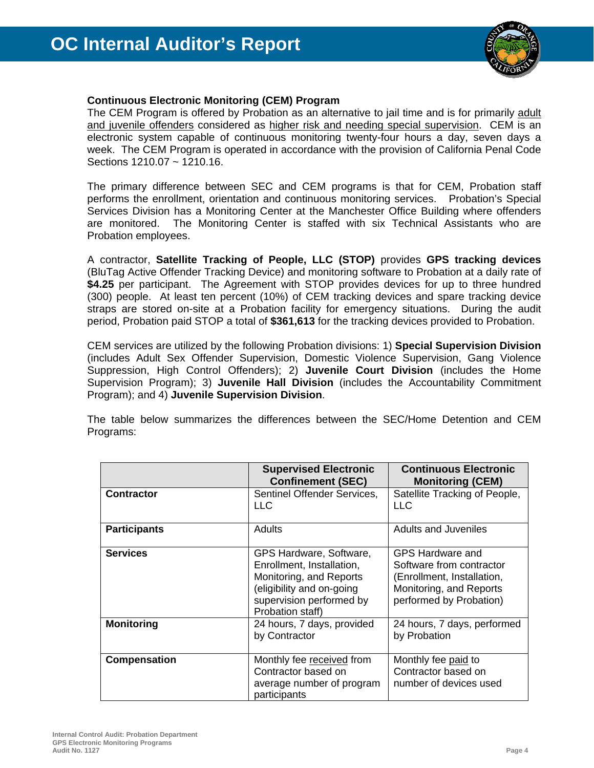

#### **Continuous Electronic Monitoring (CEM) Program**

The CEM Program is offered by Probation as an alternative to jail time and is for primarily adult and juvenile offenders considered as higher risk and needing special supervision. CEM is an electronic system capable of continuous monitoring twenty-four hours a day, seven days a week. The CEM Program is operated in accordance with the provision of California Penal Code Sections 1210.07 ~ 1210.16.

The primary difference between SEC and CEM programs is that for CEM, Probation staff performs the enrollment, orientation and continuous monitoring services. Probation's Special Services Division has a Monitoring Center at the Manchester Office Building where offenders are monitored. The Monitoring Center is staffed with six Technical Assistants who are Probation employees.

A contractor, **Satellite Tracking of People, LLC (STOP)** provides **GPS tracking devices** (BluTag Active Offender Tracking Device) and monitoring software to Probation at a daily rate of **\$4.25** per participant. The Agreement with STOP provides devices for up to three hundred (300) people. At least ten percent (10%) of CEM tracking devices and spare tracking device straps are stored on-site at a Probation facility for emergency situations. During the audit period, Probation paid STOP a total of **\$361,613** for the tracking devices provided to Probation.

CEM services are utilized by the following Probation divisions: 1) **Special Supervision Division** (includes Adult Sex Offender Supervision, Domestic Violence Supervision, Gang Violence Suppression, High Control Offenders); 2) **Juvenile Court Division** (includes the Home Supervision Program); 3) **Juvenile Hall Division** (includes the Accountability Commitment Program); and 4) **Juvenile Supervision Division**.

The table below summarizes the differences between the SEC/Home Detention and CEM Programs:

|                     | <b>Supervised Electronic</b><br><b>Confinement (SEC)</b>                                                                                                     | <b>Continuous Electronic</b><br><b>Monitoring (CEM)</b>                                                                          |
|---------------------|--------------------------------------------------------------------------------------------------------------------------------------------------------------|----------------------------------------------------------------------------------------------------------------------------------|
| <b>Contractor</b>   | Sentinel Offender Services.<br>LLC.                                                                                                                          | Satellite Tracking of People,<br>LLC.                                                                                            |
| <b>Participants</b> | Adults                                                                                                                                                       | <b>Adults and Juveniles</b>                                                                                                      |
| <b>Services</b>     | GPS Hardware, Software,<br>Enrollment, Installation,<br>Monitoring, and Reports<br>(eligibility and on-going<br>supervision performed by<br>Probation staff) | GPS Hardware and<br>Software from contractor<br>(Enrollment, Installation,<br>Monitoring, and Reports<br>performed by Probation) |
| <b>Monitoring</b>   | 24 hours, 7 days, provided<br>by Contractor                                                                                                                  | 24 hours, 7 days, performed<br>by Probation                                                                                      |
| Compensation        | Monthly fee received from<br>Contractor based on<br>average number of program<br>participants                                                                | Monthly fee paid to<br>Contractor based on<br>number of devices used                                                             |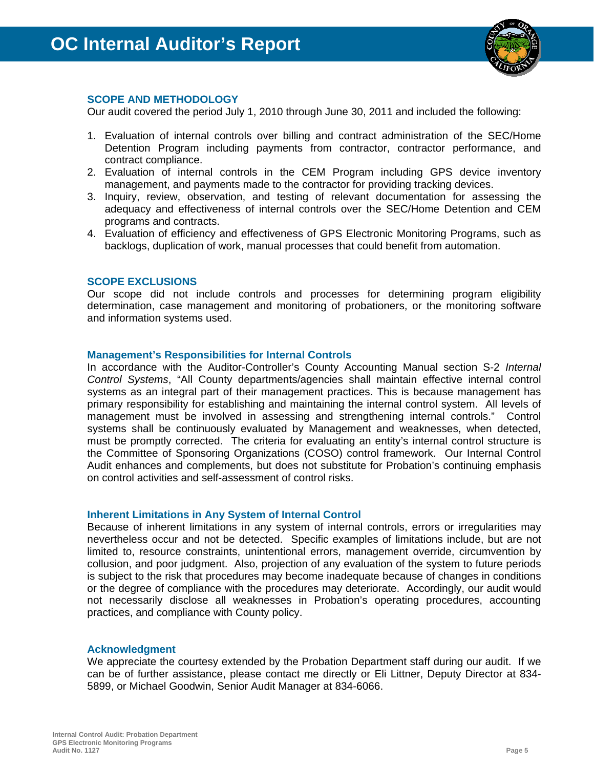

#### **SCOPE AND METHODOLOGY**

Our audit covered the period July 1, 2010 through June 30, 2011 and included the following:

- 1. Evaluation of internal controls over billing and contract administration of the SEC/Home Detention Program including payments from contractor, contractor performance, and contract compliance.
- 2. Evaluation of internal controls in the CEM Program including GPS device inventory management, and payments made to the contractor for providing tracking devices.
- 3. Inquiry, review, observation, and testing of relevant documentation for assessing the adequacy and effectiveness of internal controls over the SEC/Home Detention and CEM programs and contracts.
- 4. Evaluation of efficiency and effectiveness of GPS Electronic Monitoring Programs, such as backlogs, duplication of work, manual processes that could benefit from automation.

#### **SCOPE EXCLUSIONS**

Our scope did not include controls and processes for determining program eligibility determination, case management and monitoring of probationers, or the monitoring software and information systems used.

#### **Management's Responsibilities for Internal Controls**

In accordance with the Auditor-Controller's County Accounting Manual section S-2 *Internal Control Systems*, "All County departments/agencies shall maintain effective internal control systems as an integral part of their management practices. This is because management has primary responsibility for establishing and maintaining the internal control system. All levels of management must be involved in assessing and strengthening internal controls." Control systems shall be continuously evaluated by Management and weaknesses, when detected, must be promptly corrected. The criteria for evaluating an entity's internal control structure is the Committee of Sponsoring Organizations (COSO) control framework. Our Internal Control Audit enhances and complements, but does not substitute for Probation's continuing emphasis on control activities and self-assessment of control risks.

#### **Inherent Limitations in Any System of Internal Control**

Because of inherent limitations in any system of internal controls, errors or irregularities may nevertheless occur and not be detected. Specific examples of limitations include, but are not limited to, resource constraints, unintentional errors, management override, circumvention by collusion, and poor judgment. Also, projection of any evaluation of the system to future periods is subject to the risk that procedures may become inadequate because of changes in conditions or the degree of compliance with the procedures may deteriorate. Accordingly, our audit would not necessarily disclose all weaknesses in Probation's operating procedures, accounting practices, and compliance with County policy.

#### **Acknowledgment**

We appreciate the courtesy extended by the Probation Department staff during our audit. If we can be of further assistance, please contact me directly or Eli Littner, Deputy Director at 834- 5899, or Michael Goodwin, Senior Audit Manager at 834-6066.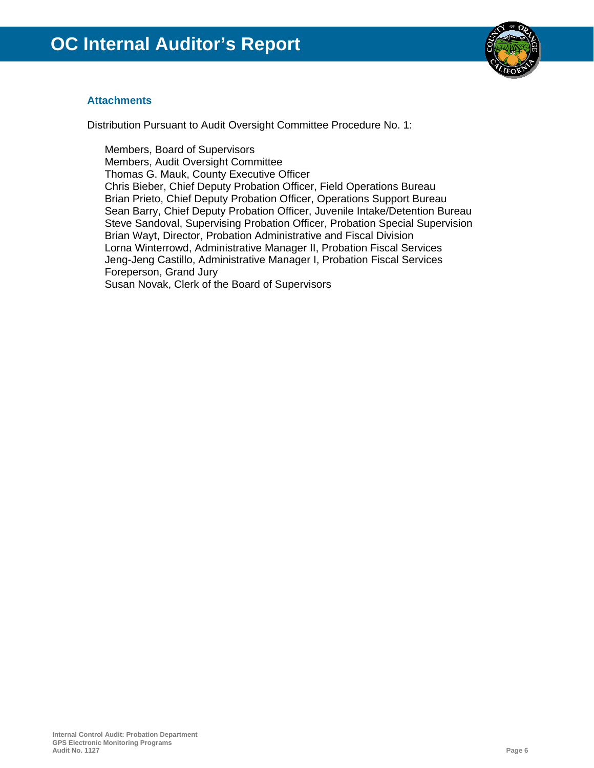

#### **Attachments**

Distribution Pursuant to Audit Oversight Committee Procedure No. 1:

Members, Board of Supervisors Members, Audit Oversight Committee Thomas G. Mauk, County Executive Officer Chris Bieber, Chief Deputy Probation Officer, Field Operations Bureau Brian Prieto, Chief Deputy Probation Officer, Operations Support Bureau Sean Barry, Chief Deputy Probation Officer, Juvenile Intake/Detention Bureau Steve Sandoval, Supervising Probation Officer, Probation Special Supervision Brian Wayt, Director, Probation Administrative and Fiscal Division Lorna Winterrowd, Administrative Manager II, Probation Fiscal Services Jeng-Jeng Castillo, Administrative Manager I, Probation Fiscal Services Foreperson, Grand Jury Susan Novak, Clerk of the Board of Supervisors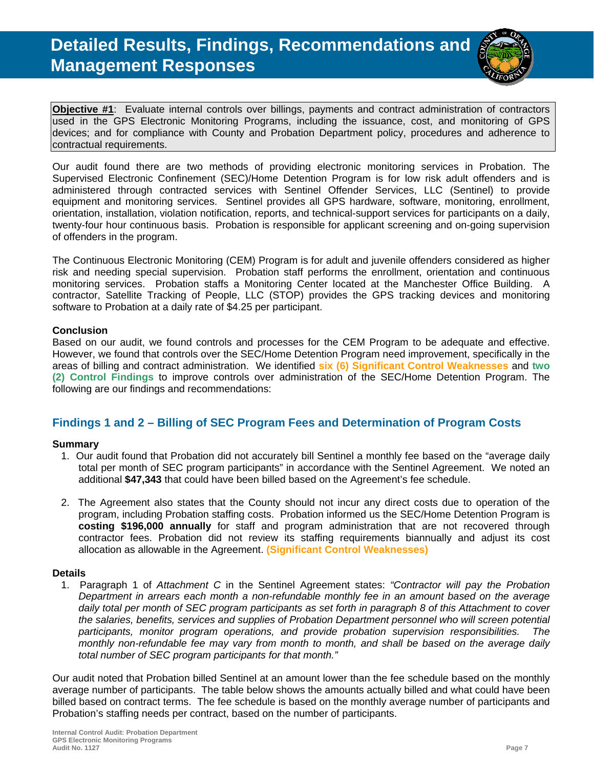

**Objective #1**:Evaluate internal controls over billings, payments and contract administration of contractors used in the GPS Electronic Monitoring Programs, including the issuance, cost, and monitoring of GPS devices; and for compliance with County and Probation Department policy, procedures and adherence to contractual requirements.

Our audit found there are two methods of providing electronic monitoring services in Probation. The Supervised Electronic Confinement (SEC)/Home Detention Program is for low risk adult offenders and is administered through contracted services with Sentinel Offender Services, LLC (Sentinel) to provide equipment and monitoring services. Sentinel provides all GPS hardware, software, monitoring, enrollment, orientation, installation, violation notification, reports, and technical-support services for participants on a daily, twenty-four hour continuous basis. Probation is responsible for applicant screening and on-going supervision of offenders in the program.

The Continuous Electronic Monitoring (CEM) Program is for adult and juvenile offenders considered as higher risk and needing special supervision. Probation staff performs the enrollment, orientation and continuous monitoring services. Probation staffs a Monitoring Center located at the Manchester Office Building. A contractor, Satellite Tracking of People, LLC (STOP) provides the GPS tracking devices and monitoring software to Probation at a daily rate of \$4.25 per participant.

#### **Conclusion**

Based on our audit, we found controls and processes for the CEM Program to be adequate and effective. However, we found that controls over the SEC/Home Detention Program need improvement, specifically in the areas of billing and contract administration. We identified **six (6) Significant Control Weaknesses** and **two (2) Control Findings** to improve controls over administration of the SEC/Home Detention Program. The following are our findings and recommendations:

#### **Findings 1 and 2 – Billing of SEC Program Fees and Determination of Program Costs**

#### **Summary**

- 1. Our audit found that Probation did not accurately bill Sentinel a monthly fee based on the "average daily total per month of SEC program participants" in accordance with the Sentinel Agreement. We noted an additional **\$47,343** that could have been billed based on the Agreement's fee schedule.
- 2. The Agreement also states that the County should not incur any direct costs due to operation of the program, including Probation staffing costs. Probation informed us the SEC/Home Detention Program is **costing \$196,000 annually** for staff and program administration that are not recovered through contractor fees. Probation did not review its staffing requirements biannually and adjust its cost allocation as allowable in the Agreement. **(Significant Control Weaknesses)**

#### **Details**

1. Paragraph 1 of *Attachment C* in the Sentinel Agreement states: *"Contractor will pay the Probation Department in arrears each month a non-refundable monthly fee in an amount based on the average daily total per month of SEC program participants as set forth in paragraph 8 of this Attachment to cover the salaries, benefits, services and supplies of Probation Department personnel who will screen potential participants, monitor program operations, and provide probation supervision responsibilities. The monthly non-refundable fee may vary from month to month, and shall be based on the average daily total number of SEC program participants for that month."* 

Our audit noted that Probation billed Sentinel at an amount lower than the fee schedule based on the monthly average number of participants. The table below shows the amounts actually billed and what could have been billed based on contract terms. The fee schedule is based on the monthly average number of participants and Probation's staffing needs per contract, based on the number of participants.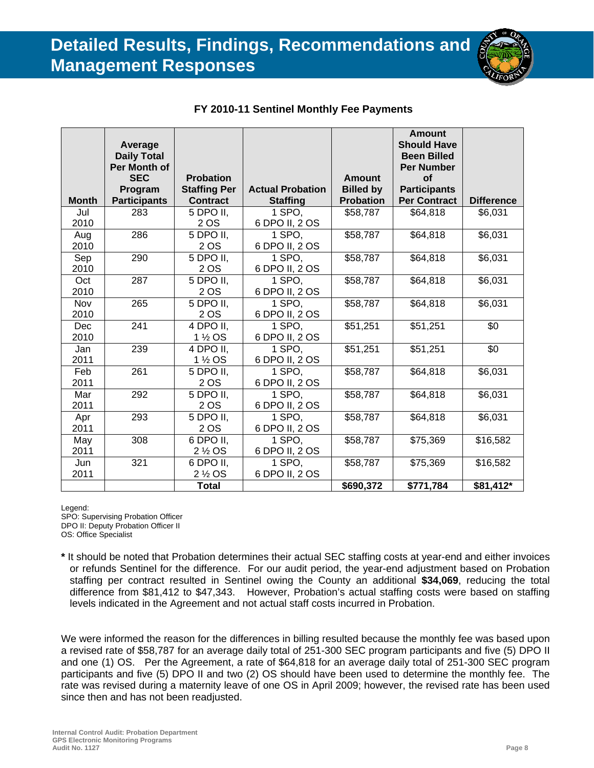

|              | <b>Average</b><br><b>Daily Total</b> |                                  |                         |                  | <b>Amount</b><br><b>Should Have</b><br><b>Been Billed</b> |                   |
|--------------|--------------------------------------|----------------------------------|-------------------------|------------------|-----------------------------------------------------------|-------------------|
|              | Per Month of                         |                                  |                         |                  | <b>Per Number</b>                                         |                   |
|              | <b>SEC</b>                           | <b>Probation</b>                 |                         | <b>Amount</b>    | <b>of</b>                                                 |                   |
|              | Program                              | <b>Staffing Per</b>              | <b>Actual Probation</b> | <b>Billed by</b> | <b>Participants</b>                                       |                   |
| <b>Month</b> | <b>Participants</b>                  | <b>Contract</b>                  | <b>Staffing</b>         | <b>Probation</b> | <b>Per Contract</b>                                       | <b>Difference</b> |
| Jul          | 283                                  | 5 DPO II,                        | 1 SPO,                  | \$58,787         | \$64,818                                                  | \$6,031           |
| 2010         |                                      | 2 OS                             | 6 DPO II, 2 OS          |                  |                                                           |                   |
| Aug          | 286                                  | 5 DPO II.                        | 1 SPO.                  | \$58,787         | \$64,818                                                  | \$6,031           |
| 2010         |                                      | 2 OS                             | 6 DPO II, 2 OS          |                  |                                                           |                   |
| Sep          | 290                                  | 5 DPO II,                        | 1 SPO,                  | \$58,787         | \$64,818                                                  | \$6,031           |
| 2010         |                                      | 2 OS                             | 6 DPO II, 2 OS          |                  |                                                           |                   |
| Oct          | 287                                  | 5 DPO II,                        | 1 SPO,                  | \$58,787         | \$64,818                                                  | \$6,031           |
| 2010         |                                      | 2 OS                             | 6 DPO II, 2 OS          |                  |                                                           |                   |
| Nov          | 265                                  | 5 DPO II,                        | 1 SPO,                  | \$58,787         | \$64,818                                                  | \$6,031           |
| 2010         |                                      | 2 OS                             | 6 DPO II, 2 OS          |                  |                                                           |                   |
| Dec          | 241                                  | 4 DPO II,                        | 1 SPO,                  | \$51,251         | \$51,251                                                  | \$0               |
| 2010         |                                      | 1 ½ OS                           | 6 DPO II, 2 OS          |                  |                                                           |                   |
| Jan          | 239                                  | 4 DPO II,                        | 1 SPO,                  | \$51,251         | \$51,251                                                  | \$0               |
| 2011         |                                      | 1 <sup>1</sup> / <sub>2</sub> OS | 6 DPO II, 2 OS          |                  |                                                           |                   |
| Feb          | 261                                  | 5 DPO II,                        | 1 SPO,                  | \$58,787         | \$64,818                                                  | \$6,031           |
| 2011         |                                      | 2 OS                             | 6 DPO II, 2 OS          |                  |                                                           |                   |
| Mar          | 292                                  | 5 DPO II,                        | 1 SPO.                  | \$58,787         | \$64,818                                                  | \$6,031           |
| 2011         |                                      | 2 OS                             | 6 DPO II, 2 OS          |                  |                                                           |                   |
| Apr          | 293                                  | 5 DPO II,                        | 1 SPO,                  | \$58,787         | \$64,818                                                  | \$6,031           |
| 2011         |                                      | 2 OS                             | 6 DPO II, 2 OS          |                  |                                                           |                   |
| May          | 308                                  | 6 DPO II,                        | 1 SPO,                  | \$58,787         | \$75,369                                                  | \$16,582          |
| 2011         |                                      | 2 <sup>1/2</sup> OS              | 6 DPO II, 2 OS          |                  |                                                           |                   |
| Jun          | 321                                  | 6 DPO II,                        | 1 SPO,                  | \$58,787         | \$75,369                                                  | \$16,582          |
| 2011         |                                      | 2 <sup>1/2</sup> OS              | 6 DPO II, 2 OS          |                  |                                                           |                   |
|              |                                      | <b>Total</b>                     |                         | \$690,372        | \$771,784                                                 | \$81,412*         |

#### **FY 2010-11 Sentinel Monthly Fee Payments**

Legend:

SPO: Supervising Probation Officer DPO II: Deputy Probation Officer II OS: Office Specialist

**\*** It should be noted that Probation determines their actual SEC staffing costs at year-end and either invoices or refunds Sentinel for the difference. For our audit period, the year-end adjustment based on Probation staffing per contract resulted in Sentinel owing the County an additional **\$34,069**, reducing the total difference from \$81,412 to \$47,343. However, Probation's actual staffing costs were based on staffing levels indicated in the Agreement and not actual staff costs incurred in Probation.

We were informed the reason for the differences in billing resulted because the monthly fee was based upon a revised rate of \$58,787 for an average daily total of 251-300 SEC program participants and five (5) DPO II and one (1) OS. Per the Agreement, a rate of \$64,818 for an average daily total of 251-300 SEC program participants and five (5) DPO II and two (2) OS should have been used to determine the monthly fee. The rate was revised during a maternity leave of one OS in April 2009; however, the revised rate has been used since then and has not been readjusted.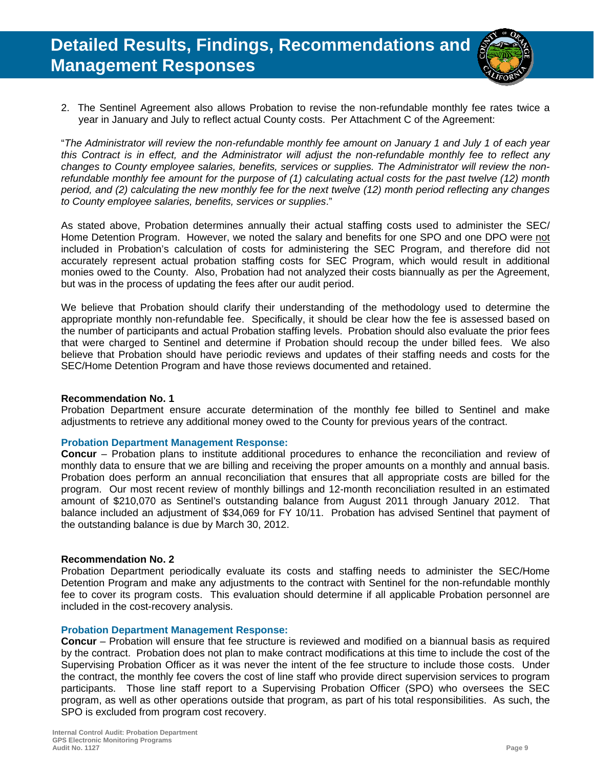

2. The Sentinel Agreement also allows Probation to revise the non-refundable monthly fee rates twice a year in January and July to reflect actual County costs. Per Attachment C of the Agreement:

"*The Administrator will review the non-refundable monthly fee amount on January 1 and July 1 of each year this Contract is in effect, and the Administrator will adjust the non-refundable monthly fee to reflect any changes to County employee salaries, benefits, services or supplies. The Administrator will review the nonrefundable monthly fee amount for the purpose of (1) calculating actual costs for the past twelve (12) month period, and (2) calculating the new monthly fee for the next twelve (12) month period reflecting any changes to County employee salaries, benefits, services or supplies*."

As stated above, Probation determines annually their actual staffing costs used to administer the SEC/ Home Detention Program. However, we noted the salary and benefits for one SPO and one DPO were not included in Probation's calculation of costs for administering the SEC Program, and therefore did not accurately represent actual probation staffing costs for SEC Program, which would result in additional monies owed to the County. Also, Probation had not analyzed their costs biannually as per the Agreement, but was in the process of updating the fees after our audit period.

We believe that Probation should clarify their understanding of the methodology used to determine the appropriate monthly non-refundable fee. Specifically, it should be clear how the fee is assessed based on the number of participants and actual Probation staffing levels. Probation should also evaluate the prior fees that were charged to Sentinel and determine if Probation should recoup the under billed fees. We also believe that Probation should have periodic reviews and updates of their staffing needs and costs for the SEC/Home Detention Program and have those reviews documented and retained.

#### **Recommendation No. 1**

Probation Department ensure accurate determination of the monthly fee billed to Sentinel and make adjustments to retrieve any additional money owed to the County for previous years of the contract.

#### **Probation Department Management Response:**

**Concur** – Probation plans to institute additional procedures to enhance the reconciliation and review of monthly data to ensure that we are billing and receiving the proper amounts on a monthly and annual basis. Probation does perform an annual reconciliation that ensures that all appropriate costs are billed for the program. Our most recent review of monthly billings and 12-month reconciliation resulted in an estimated amount of \$210,070 as Sentinel's outstanding balance from August 2011 through January 2012. That balance included an adjustment of \$34,069 for FY 10/11. Probation has advised Sentinel that payment of the outstanding balance is due by March 30, 2012.

#### **Recommendation No. 2**

Probation Department periodically evaluate its costs and staffing needs to administer the SEC/Home Detention Program and make any adjustments to the contract with Sentinel for the non-refundable monthly fee to cover its program costs. This evaluation should determine if all applicable Probation personnel are included in the cost-recovery analysis.

#### **Probation Department Management Response:**

**Concur** – Probation will ensure that fee structure is reviewed and modified on a biannual basis as required by the contract. Probation does not plan to make contract modifications at this time to include the cost of the Supervising Probation Officer as it was never the intent of the fee structure to include those costs. Under the contract, the monthly fee covers the cost of line staff who provide direct supervision services to program participants. Those line staff report to a Supervising Probation Officer (SPO) who oversees the SEC program, as well as other operations outside that program, as part of his total responsibilities. As such, the SPO is excluded from program cost recovery.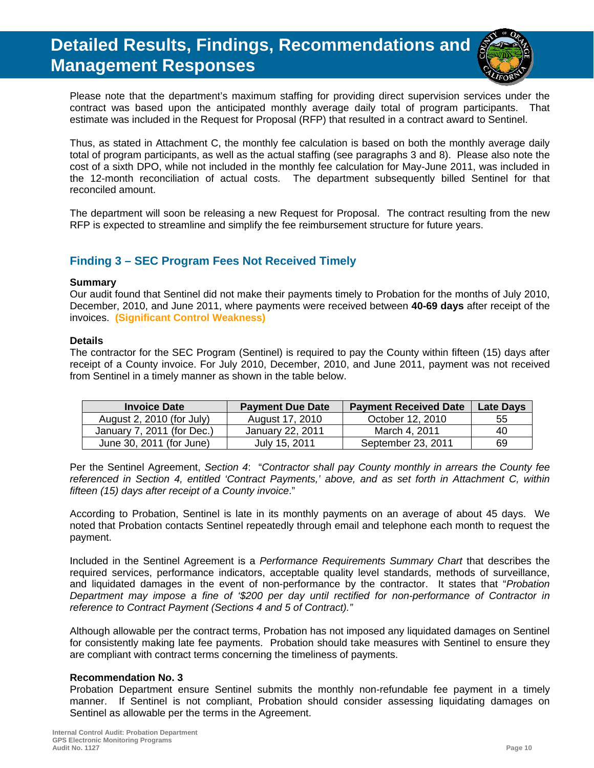

Please note that the department's maximum staffing for providing direct supervision services under the contract was based upon the anticipated monthly average daily total of program participants. That estimate was included in the Request for Proposal (RFP) that resulted in a contract award to Sentinel.

Thus, as stated in Attachment C, the monthly fee calculation is based on both the monthly average daily total of program participants, as well as the actual staffing (see paragraphs 3 and 8). Please also note the cost of a sixth DPO, while not included in the monthly fee calculation for May-June 2011, was included in the 12-month reconciliation of actual costs. The department subsequently billed Sentinel for that reconciled amount.

The department will soon be releasing a new Request for Proposal. The contract resulting from the new RFP is expected to streamline and simplify the fee reimbursement structure for future years.

#### **Finding 3 – SEC Program Fees Not Received Timely**

#### **Summary**

Our audit found that Sentinel did not make their payments timely to Probation for the months of July 2010, December, 2010, and June 2011, where payments were received between **40-69 days** after receipt of the invoices. **(Significant Control Weakness)**

#### **Details**

The contractor for the SEC Program (Sentinel) is required to pay the County within fifteen (15) days after receipt of a County invoice. For July 2010, December, 2010, and June 2011, payment was not received from Sentinel in a timely manner as shown in the table below.

| <b>Invoice Date</b>        | <b>Payment Due Date</b> | <b>Payment Received Date</b> | <b>Late Days</b> |
|----------------------------|-------------------------|------------------------------|------------------|
| August 2, 2010 (for July)  | August 17, 2010         | October 12, 2010             | 55               |
| January 7, 2011 (for Dec.) | January 22, 2011        | March 4, 2011                | 40               |
| June 30, 2011 (for June)   | July 15, 2011           | September 23, 2011           | 69               |

Per the Sentinel Agreement, *Section 4*: "*Contractor shall pay County monthly in arrears the County fee referenced in Section 4, entitled 'Contract Payments,' above, and as set forth in Attachment C, within fifteen (15) days after receipt of a County invoice*."

According to Probation, Sentinel is late in its monthly payments on an average of about 45 days. We noted that Probation contacts Sentinel repeatedly through email and telephone each month to request the payment.

Included in the Sentinel Agreement is a *Performance Requirements Summary Chart* that describes the required services, performance indicators, acceptable quality level standards, methods of surveillance, and liquidated damages in the event of non-performance by the contractor. It states that "*Probation Department may impose a fine of '\$200 per day until rectified for non-performance of Contractor in reference to Contract Payment (Sections 4 and 5 of Contract)."* 

Although allowable per the contract terms, Probation has not imposed any liquidated damages on Sentinel for consistently making late fee payments. Probation should take measures with Sentinel to ensure they are compliant with contract terms concerning the timeliness of payments.

#### **Recommendation No. 3**

Probation Department ensure Sentinel submits the monthly non-refundable fee payment in a timely manner. If Sentinel is not compliant, Probation should consider assessing liquidating damages on Sentinel as allowable per the terms in the Agreement.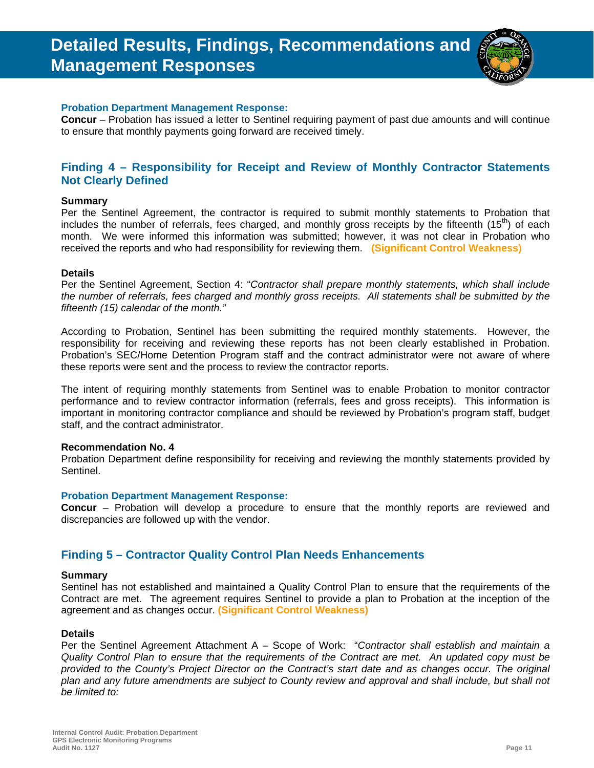

#### **Probation Department Management Response:**

**Concur** – Probation has issued a letter to Sentinel requiring payment of past due amounts and will continue to ensure that monthly payments going forward are received timely.

#### **Finding 4 – Responsibility for Receipt and Review of Monthly Contractor Statements Not Clearly Defined**

#### **Summary**

Per the Sentinel Agreement, the contractor is required to submit monthly statements to Probation that includes the number of referrals, fees charged, and monthly gross receipts by the fifteenth  $(15<sup>th</sup>)$  of each month. We were informed this information was submitted; however, it was not clear in Probation who received the reports and who had responsibility for reviewing them. **(Significant Control Weakness)**

#### **Details**

Per the Sentinel Agreement, Section 4: "*Contractor shall prepare monthly statements, which shall include the number of referrals, fees charged and monthly gross receipts. All statements shall be submitted by the fifteenth (15) calendar of the month."* 

According to Probation, Sentinel has been submitting the required monthly statements. However, the responsibility for receiving and reviewing these reports has not been clearly established in Probation. Probation's SEC/Home Detention Program staff and the contract administrator were not aware of where these reports were sent and the process to review the contractor reports.

The intent of requiring monthly statements from Sentinel was to enable Probation to monitor contractor performance and to review contractor information (referrals, fees and gross receipts). This information is important in monitoring contractor compliance and should be reviewed by Probation's program staff, budget staff, and the contract administrator.

#### **Recommendation No. 4**

Probation Department define responsibility for receiving and reviewing the monthly statements provided by Sentinel.

#### **Probation Department Management Response:**

**Concur** – Probation will develop a procedure to ensure that the monthly reports are reviewed and discrepancies are followed up with the vendor.

#### **Finding 5 – Contractor Quality Control Plan Needs Enhancements**

#### **Summary**

Sentinel has not established and maintained a Quality Control Plan to ensure that the requirements of the Contract are met. The agreement requires Sentinel to provide a plan to Probation at the inception of the agreement and as changes occur. **(Significant Control Weakness)**

#### **Details**

Per the Sentinel Agreement Attachment A – Scope of Work: "*Contractor shall establish and maintain a Quality Control Plan to ensure that the requirements of the Contract are met. An updated copy must be provided to the County's Project Director on the Contract's start date and as changes occur. The original plan and any future amendments are subject to County review and approval and shall include, but shall not be limited to:*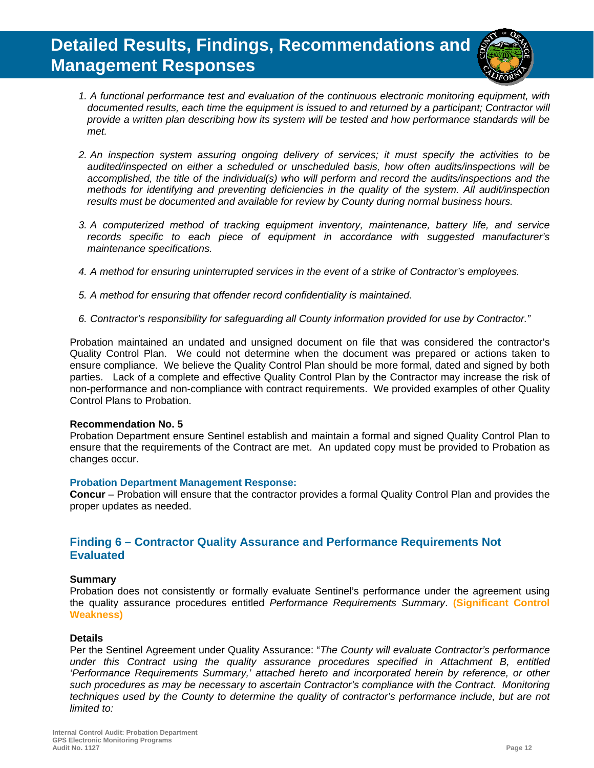

- *1.A functional performance test and evaluation of the continuous electronic monitoring equipment, with documented results, each time the equipment is issued to and returned by a participant; Contractor will provide a written plan describing how its system will be tested and how performance standards will be met.*
- *2.An inspection system assuring ongoing delivery of services; it must specify the activities to be audited/inspected on either a scheduled or unscheduled basis, how often audits/inspections will be accomplished, the title of the individual(s) who will perform and record the audits/inspections and the methods for identifying and preventing deficiencies in the quality of the system. All audit/inspection results must be documented and available for review by County during normal business hours.*
- *3.A computerized method of tracking equipment inventory, maintenance, battery life, and service records specific to each piece of equipment in accordance with suggested manufacturer's maintenance specifications.*
- *4.A method for ensuring uninterrupted services in the event of a strike of Contractor's employees.*
- *5.A method for ensuring that offender record confidentiality is maintained.*
- *6.Contractor's responsibility for safeguarding all County information provided for use by Contractor."*

Probation maintained an undated and unsigned document on file that was considered the contractor's Quality Control Plan. We could not determine when the document was prepared or actions taken to ensure compliance. We believe the Quality Control Plan should be more formal, dated and signed by both parties. Lack of a complete and effective Quality Control Plan by the Contractor may increase the risk of non-performance and non-compliance with contract requirements. We provided examples of other Quality Control Plans to Probation.

#### **Recommendation No. 5**

Probation Department ensure Sentinel establish and maintain a formal and signed Quality Control Plan to ensure that the requirements of the Contract are met. An updated copy must be provided to Probation as changes occur.

#### **Probation Department Management Response:**

**Concur** – Probation will ensure that the contractor provides a formal Quality Control Plan and provides the proper updates as needed.

#### **Finding 6 – Contractor Quality Assurance and Performance Requirements Not Evaluated**

#### **Summary**

Probation does not consistently or formally evaluate Sentinel's performance under the agreement using the quality assurance procedures entitled *Performance Requirements Summary*. **(Significant Control Weakness)**

#### **Details**

Per the Sentinel Agreement under Quality Assurance: "*The County will evaluate Contractor's performance under this Contract using the quality assurance procedures specified in Attachment B, entitled 'Performance Requirements Summary,' attached hereto and incorporated herein by reference, or other such procedures as may be necessary to ascertain Contractor's compliance with the Contract. Monitoring techniques used by the County to determine the quality of contractor's performance include, but are not limited to:*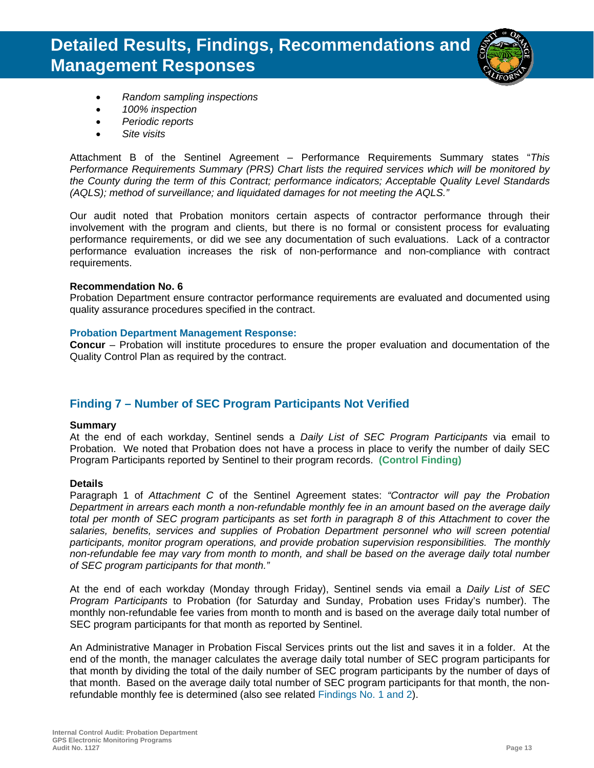

- *Random sampling inspections*
- *100% inspection*
- *Periodic reports*
- *Site visits*

Attachment B of the Sentinel Agreement – Performance Requirements Summary states "*This Performance Requirements Summary (PRS) Chart lists the required services which will be monitored by the County during the term of this Contract; performance indicators; Acceptable Quality Level Standards (AQLS); method of surveillance; and liquidated damages for not meeting the AQLS."* 

Our audit noted that Probation monitors certain aspects of contractor performance through their involvement with the program and clients, but there is no formal or consistent process for evaluating performance requirements, or did we see any documentation of such evaluations. Lack of a contractor performance evaluation increases the risk of non-performance and non-compliance with contract requirements.

#### **Recommendation No. 6**

Probation Department ensure contractor performance requirements are evaluated and documented using quality assurance procedures specified in the contract.

#### **Probation Department Management Response:**

**Concur** – Probation will institute procedures to ensure the proper evaluation and documentation of the Quality Control Plan as required by the contract.

#### **Finding 7 – Number of SEC Program Participants Not Verified**

#### **Summary**

At the end of each workday, Sentinel sends a *Daily List of SEC Program Participants* via email to Probation. We noted that Probation does not have a process in place to verify the number of daily SEC Program Participants reported by Sentinel to their program records. **(Control Finding)**

#### **Details**

Paragraph 1 of *Attachment C* of the Sentinel Agreement states: *"Contractor will pay the Probation Department in arrears each month a non-refundable monthly fee in an amount based on the average daily total per month of SEC program participants as set forth in paragraph 8 of this Attachment to cover the salaries, benefits, services and supplies of Probation Department personnel who will screen potential participants, monitor program operations, and provide probation supervision responsibilities. The monthly non-refundable fee may vary from month to month, and shall be based on the average daily total number of SEC program participants for that month."* 

At the end of each workday (Monday through Friday), Sentinel sends via email a *Daily List of SEC Program Participants* to Probation (for Saturday and Sunday, Probation uses Friday's number). The monthly non-refundable fee varies from month to month and is based on the average daily total number of SEC program participants for that month as reported by Sentinel.

An Administrative Manager in Probation Fiscal Services prints out the list and saves it in a folder. At the end of the month, the manager calculates the average daily total number of SEC program participants for that month by dividing the total of the daily number of SEC program participants by the number of days of that month. Based on the average daily total number of SEC program participants for that month, the nonrefundable monthly fee is determined (also see related Findings No. 1 and 2).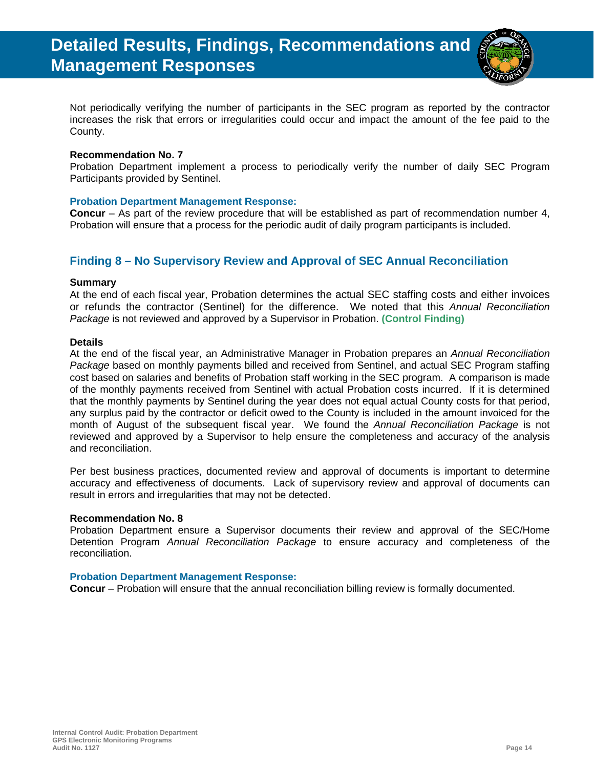

Not periodically verifying the number of participants in the SEC program as reported by the contractor increases the risk that errors or irregularities could occur and impact the amount of the fee paid to the County.

#### **Recommendation No. 7**

Probation Department implement a process to periodically verify the number of daily SEC Program Participants provided by Sentinel.

#### **Probation Department Management Response:**

**Concur** – As part of the review procedure that will be established as part of recommendation number 4, Probation will ensure that a process for the periodic audit of daily program participants is included.

#### **Finding 8 – No Supervisory Review and Approval of SEC Annual Reconciliation**

#### **Summary**

At the end of each fiscal year, Probation determines the actual SEC staffing costs and either invoices or refunds the contractor (Sentinel) for the difference. We noted that this *Annual Reconciliation Package* is not reviewed and approved by a Supervisor in Probation. **(Control Finding)**

#### **Details**

At the end of the fiscal year, an Administrative Manager in Probation prepares an *Annual Reconciliation Package* based on monthly payments billed and received from Sentinel, and actual SEC Program staffing cost based on salaries and benefits of Probation staff working in the SEC program. A comparison is made of the monthly payments received from Sentinel with actual Probation costs incurred. If it is determined that the monthly payments by Sentinel during the year does not equal actual County costs for that period, any surplus paid by the contractor or deficit owed to the County is included in the amount invoiced for the month of August of the subsequent fiscal year. We found the *Annual Reconciliation Package* is not reviewed and approved by a Supervisor to help ensure the completeness and accuracy of the analysis and reconciliation.

Per best business practices, documented review and approval of documents is important to determine accuracy and effectiveness of documents. Lack of supervisory review and approval of documents can result in errors and irregularities that may not be detected.

#### **Recommendation No. 8**

Probation Department ensure a Supervisor documents their review and approval of the SEC/Home Detention Program *Annual Reconciliation Package* to ensure accuracy and completeness of the reconciliation.

#### **Probation Department Management Response:**

**Concur** – Probation will ensure that the annual reconciliation billing review is formally documented.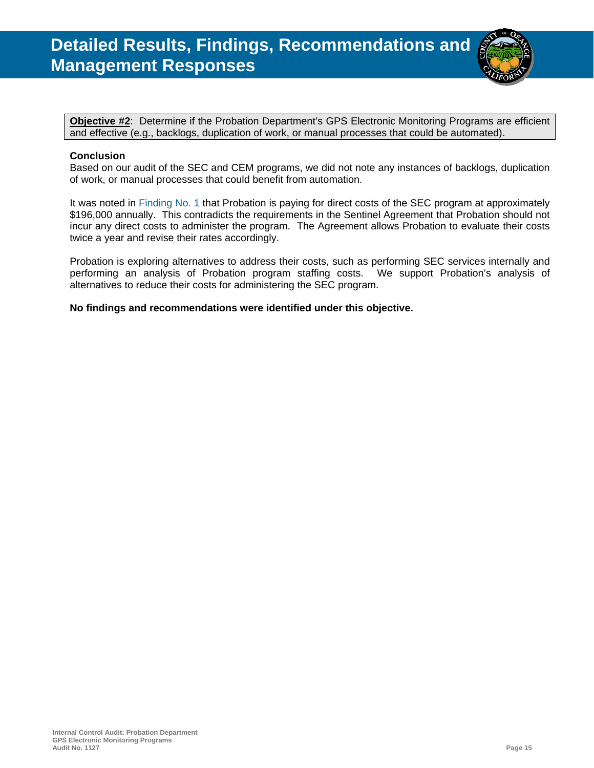

**Objective #2**:Determine if the Probation Department's GPS Electronic Monitoring Programs are efficient and effective (e.g., backlogs, duplication of work, or manual processes that could be automated).

#### **Conclusion**

Based on our audit of the SEC and CEM programs, we did not note any instances of backlogs, duplication of work, or manual processes that could benefit from automation.

It was noted in Finding No. 1 that Probation is paying for direct costs of the SEC program at approximately \$196,000 annually. This contradicts the requirements in the Sentinel Agreement that Probation should not incur any direct costs to administer the program. The Agreement allows Probation to evaluate their costs twice a year and revise their rates accordingly.

Probation is exploring alternatives to address their costs, such as performing SEC services internally and performing an analysis of Probation program staffing costs. We support Probation's analysis of alternatives to reduce their costs for administering the SEC program.

**No findings and recommendations were identified under this objective.**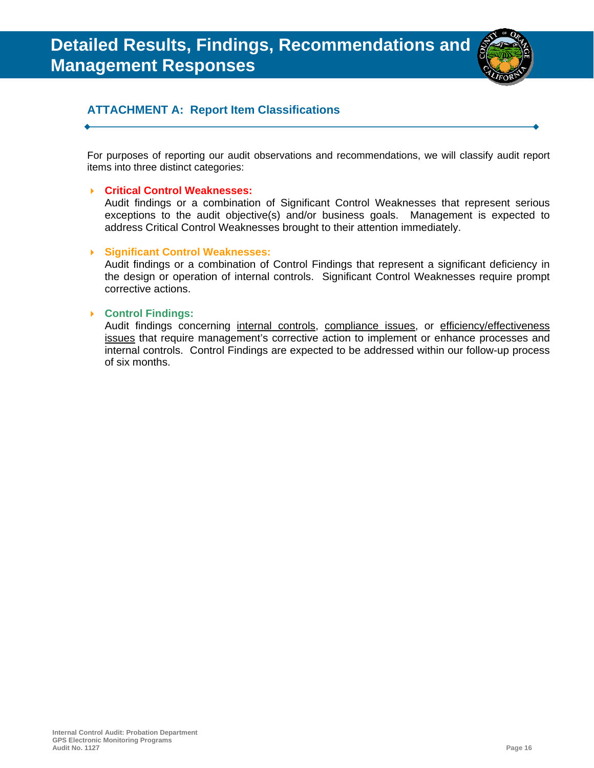

#### **ATTACHMENT A: Report Item Classifications**

For purposes of reporting our audit observations and recommendations, we will classify audit report items into three distinct categories:

#### **Critical Control Weaknesses:**

Audit findings or a combination of Significant Control Weaknesses that represent serious exceptions to the audit objective(s) and/or business goals. Management is expected to address Critical Control Weaknesses brought to their attention immediately.

#### **Significant Control Weaknesses:**

Audit findings or a combination of Control Findings that represent a significant deficiency in the design or operation of internal controls. Significant Control Weaknesses require prompt corrective actions.

#### **Control Findings:**

Audit findings concerning internal controls, compliance issues, or efficiency/effectiveness issues that require management's corrective action to implement or enhance processes and internal controls. Control Findings are expected to be addressed within our follow-up process of six months.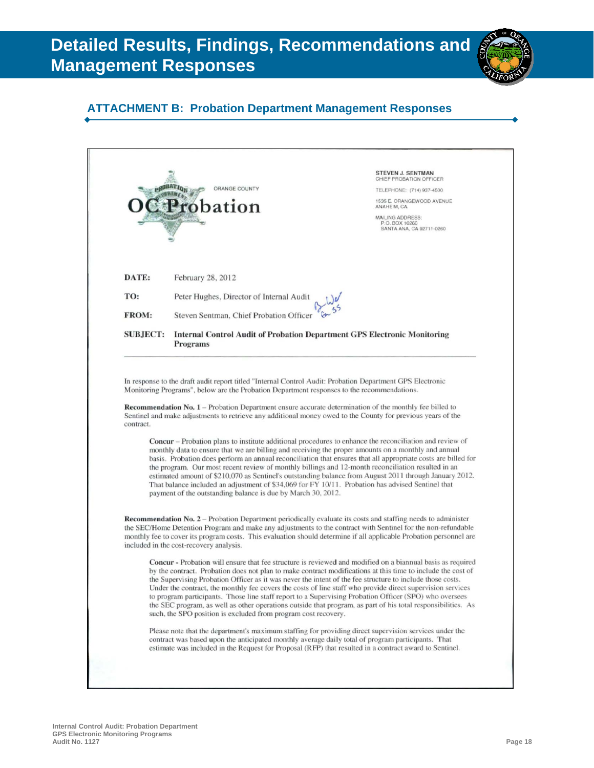### **ATTACHMENT B: Probation Department Management Responses**

|                 |                                                                                                                                                                                                                                                                                                                                                                                                                                                                                                                                                                                                                                                                                                                                                                                                                | STEVEN J. SENTMAN<br>CHIEF PROBATION OFFICER                   |
|-----------------|----------------------------------------------------------------------------------------------------------------------------------------------------------------------------------------------------------------------------------------------------------------------------------------------------------------------------------------------------------------------------------------------------------------------------------------------------------------------------------------------------------------------------------------------------------------------------------------------------------------------------------------------------------------------------------------------------------------------------------------------------------------------------------------------------------------|----------------------------------------------------------------|
|                 | ORANGE COUNTY                                                                                                                                                                                                                                                                                                                                                                                                                                                                                                                                                                                                                                                                                                                                                                                                  | TELEPHONE: (714) 937-4500                                      |
|                 | robation                                                                                                                                                                                                                                                                                                                                                                                                                                                                                                                                                                                                                                                                                                                                                                                                       | 1535 E. ORANGEWOOD AVENUE<br>ANAHEIM, CA                       |
|                 |                                                                                                                                                                                                                                                                                                                                                                                                                                                                                                                                                                                                                                                                                                                                                                                                                | MAILING ADDRESS:<br>P.O. BOX 10260<br>SANTA ANA, CA 92711-0260 |
| DATE:           | February 28, 2012                                                                                                                                                                                                                                                                                                                                                                                                                                                                                                                                                                                                                                                                                                                                                                                              |                                                                |
| TO:             | Peter Hughes, Director of Internal Audit                                                                                                                                                                                                                                                                                                                                                                                                                                                                                                                                                                                                                                                                                                                                                                       |                                                                |
| <b>FROM:</b>    | Steven Sentman, Chief Probation Officer                                                                                                                                                                                                                                                                                                                                                                                                                                                                                                                                                                                                                                                                                                                                                                        |                                                                |
| <b>SUBJECT:</b> | <b>Internal Control Audit of Probation Department GPS Electronic Monitoring</b><br>Programs                                                                                                                                                                                                                                                                                                                                                                                                                                                                                                                                                                                                                                                                                                                    |                                                                |
|                 | estimated amount of \$210,070 as Sentinel's outstanding balance from August 2011 through January 2012.<br>That balance included an adjustment of \$34,069 for FY 10/11. Probation has advised Sentinel that                                                                                                                                                                                                                                                                                                                                                                                                                                                                                                                                                                                                    |                                                                |
|                 | payment of the outstanding balance is due by March 30, 2012.<br>Recommendation No. 2 - Probation Department periodically evaluate its costs and staffing needs to administer<br>the SEC/Home Detention Program and make any adjustments to the contract with Sentinel for the non-refundable<br>monthly fee to cover its program costs. This evaluation should determine if all applicable Probation personnel are<br>included in the cost-recovery analysis.<br><b>Concur</b> - Probation will ensure that fee structure is reviewed and modified on a biannual basis as required<br>by the contract. Probation does not plan to make contract modifications at this time to include the cost of<br>the Supervising Probation Officer as it was never the intent of the fee structure to include those costs. |                                                                |